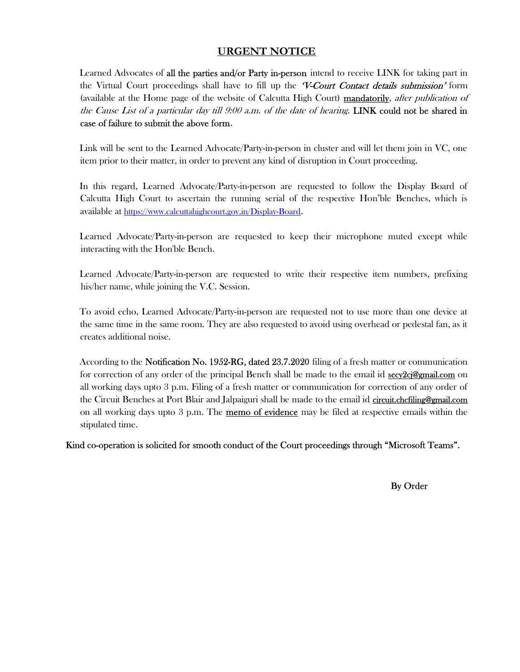# URGENT NOTICE

Learned Advocates of all the parties and/or Party in-person intend to receive LINK for taking part in the Virtual Court proceedings shall have to fill up the *V-Court Contact details submission'* form (available at the Home page of the website of Calcutta High Court) mandatorily, after publication of the Cause List of a particular day till  $9:00$  a.m. of the date of hearing. LINK could not be shared in case of failure to submit the above form.

Link will be sent to the Learned Advocate/Party-in-person in cluster and will let them join in VC, one item prior to their matter, in order to prevent any kind of disruption in Court proceeding.

In this regard, Learned Advocate/Party-in-person are requested to follow the Display Board of Calcutta High Court to ascertain the running serial of the respective Hon'ble Benches, which is available at https://www.calcuttahighcourt.gov.in/Display-Board.

Learned Advocate/Party-in-person are requested to keep their microphone muted except while interacting with the Hon'ble Bench.

Learned Advocate/Party-in-person are requested to write their respective item numbers, prefixing his/her name, while joining the V.C. Session.

To avoid echo, Learned Advocate/Party-in-person are requested not to use more than one device at the same time in the same room. They are also requested to avoid using overhead or pedestal fan, as it creates additional noise.

According to the **Notification No. 1952-RG, dated 23.7.2020** filing of a fresh matter or communication for correction of any order of the principal Bench shall be made to the email id secy2cj@gmail.com on all working days upto 3 p.m. Filing of a fresh matter or communication for correction of any order of the Circuit Benches at Port Blair and Jalpaiguri shall be made to the email id circuit.chcfiling@gmail.com on all working days upto  $3$  p.m. The **memo of evidence** may be filed at respective emails within the stipulated time.

Kind co-operation is solicited for smooth conduct of the Court proceedings through "Microsoft Teams".

By Order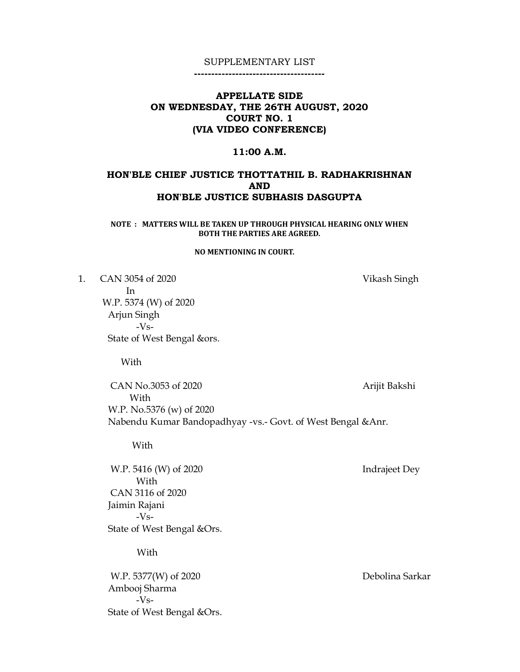--------------------------------------

## APPELLATE SIDE ON WEDNESDAY, THE 26TH AUGUST, 2020 COURT NO. 1 (VIA VIDEO CONFERENCE)

#### 11:00 A.M.

## HON'BLE CHIEF JUSTICE THOTTATHIL B. RADHAKRISHNAN AND HON'BLE JUSTICE SUBHASIS DASGUPTA

NOTE : MATTERS WILL BE TAKEN UP THROUGH PHYSICAL HEARING ONLY WHEN BOTH THE PARTIES ARE AGREED.

### NO MENTIONING IN COURT.

1. CAN 3054 of 2020 Vikash Singh In W.P. 5374 (W) of 2020 Arjun Singh -Vs- State of West Bengal &ors.

With

CAN No.3053 of 2020 Arijit Bakshi With W.P. No.5376 (w) of 2020 Nabendu Kumar Bandopadhyay -vs.- Govt. of West Bengal &Anr.

With

W.P. 5416 (W) of 2020 Indrajeet Dey With CAN 3116 of 2020 Jaimin Rajani -Vs- State of West Bengal &Ors.

With

W.P. 5377(W) of 2020 Debolina Sarkar Ambooj Sharma -Vs- State of West Bengal &Ors.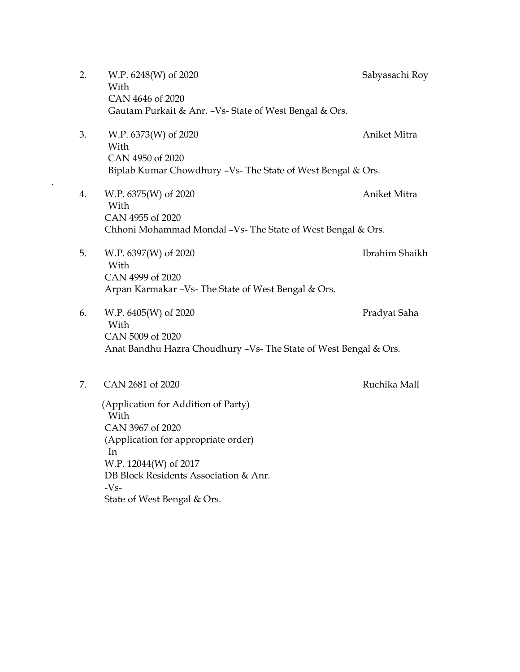- 2. W.P. 6248(W) of 2020 Sabyasachi Roy With CAN 4646 of 2020 Gautam Purkait & Anr. –Vs- State of West Bengal & Ors. 3. W.P. 6373(W) of 2020 Aniket Mitra With CAN 4950 of 2020 Biplab Kumar Chowdhury –Vs- The State of West Bengal & Ors. 4. W.P. 6375(W) of 2020 Aniket Mitra With CAN 4955 of 2020 Chhoni Mohammad Mondal –Vs- The State of West Bengal & Ors. 5. W.P. 6397(W) of 2020 Ibrahim Shaikh With CAN 4999 of 2020 Arpan Karmakar –Vs- The State of West Bengal & Ors.
- 6. W.P. 6405(W) of 2020 Pradyat Saha With CAN 5009 of 2020 Anat Bandhu Hazra Choudhury –Vs- The State of West Bengal & Ors.
- 7. CAN 2681 of 2020 Ruchika Mall

.

 (Application for Addition of Party) With CAN 3967 of 2020 (Application for appropriate order) In W.P. 12044(W) of 2017 DB Block Residents Association & Anr.  $-Vs-$ State of West Bengal & Ors.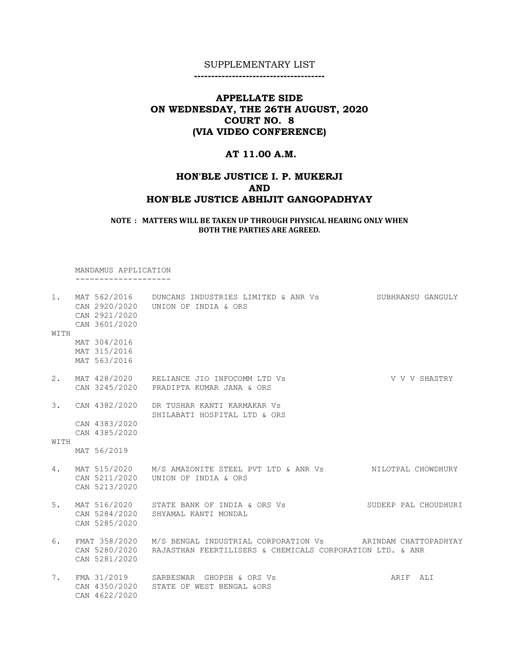--------------------------------------

# APPELLATE SIDE ON WEDNESDAY, THE 26TH AUGUST, 2020 COURT NO. 8 (VIA VIDEO CONFERENCE)

## AT 11.00 A.M.

## HON'BLE JUSTICE I. P. MUKERJI AND HON'BLE JUSTICE ABHIJIT GANGOPADHYAY

NOTE : MATTERS WILL BE TAKEN UP THROUGH PHYSICAL HEARING ONLY WHEN BOTH THE PARTIES ARE AGREED.

 MANDAMUS APPLICATION --------------------

| $1$ .<br>WITH | CAN 2921/2020<br>CAN 3601/2020                  | MAT 562/2016 DUNCANS INDUSTRIES LIMITED & ANR Vs<br>CAN 2920/2020    UNION OF INDIA & ORS                               | SUBHRANSU GANGULY    |
|---------------|-------------------------------------------------|-------------------------------------------------------------------------------------------------------------------------|----------------------|
|               | MAT 304/2016<br>MAT 315/2016<br>MAT 563/2016    |                                                                                                                         |                      |
| 2.            |                                                 | MAT 428/2020 RELIANCE JIO INFOCOMM LTD Vs<br>CAN 3245/2020 PRADIPTA KUMAR JANA & ORS                                    | V V V SHASTRY        |
| 3.            | CAN 4382/2020                                   | DR TUSHAR KANTI KARMAKAR VS<br>SHILABATI HOSPITAL LTD & ORS                                                             |                      |
| WITH          | CAN 4383/2020<br>CAN 4385/2020                  |                                                                                                                         |                      |
|               | MAT 56/2019                                     |                                                                                                                         |                      |
| 4.            | CAN 5211/2020<br>CAN 5213/2020                  | MAT 515/2020 M/S AMAZONITE STEEL PVT LTD & ANR Vs NILOTPAL CHOWDHURY<br>UNION OF INDIA & ORS                            |                      |
| 5.            | CAN 5285/2020                                   | MAT 516/2020 STATE BANK OF INDIA & ORS Vs<br>CAN 5284/2020 SHYAMAL KANTI MONDAL                                         | SUDEEP PAL CHOUDHURI |
| 6.            | FMAT 358/2020<br>CAN 5280/2020<br>CAN 5281/2020 | M/S BENGAL INDUSTRIAL CORPORATION Vs ARINDAM CHATTOPADHYAY<br>RAJASTHAN FEERTILISERS & CHEMICALS CORPORATION LTD. & ANR |                      |
| 7.            | CAN 4622/2020                                   | FMA 31/2019 SARBESWAR GHOPSH & ORS Vs<br>CAN 4350/2020 STATE OF WEST BENGAL &ORS                                        | ARIF ALI             |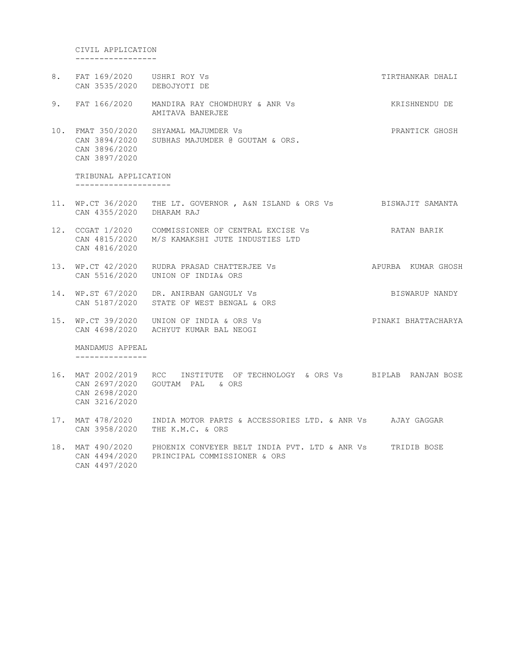CIVIL APPLICATION

-----------------

8. FAT 169/2020 USHRI ROY Vs **TIRTHANKAR DHALI**  CAN 3535/2020 DEBOJYOTI DE 9. FAT 166/2020 MANDIRA RAY CHOWDHURY & ANR Vs KRISHNENDU DE AMITAVA BANERJEE 10. FMAT 350/2020 SHYAMAL MAJUMDER Vs PRANTICK GHOSH CAN 3894/2020 SUBHAS MAJUMDER @ GOUTAM & ORS. CAN 3896/2020 CAN 3897/2020

 TRIBUNAL APPLICATION --------------------

- 11. WP.CT 36/2020 THE LT. GOVERNOR , A&N ISLAND & ORS Vs BISWAJIT SAMANTA CAN 4355/2020 DHARAM RAJ
- 12. CCGAT 1/2020 COMMISSIONER OF CENTRAL EXCISE Vs BATAN BARIK CAN 4815/2020 M/S KAMAKSHI JUTE INDUSTIES LTD CAN 4816/2020
- 13. WP.CT 42/2020 RUDRA PRASAD CHATTERJEE Vs APURBA KUMAR GHOSH CAN 5516/2020 UNION OF INDIA& ORS
- 14. WP.ST 67/2020 DR. ANIRBAN GANGULY Vs BISWARUP NANDY CAN 5187/2020 STATE OF WEST BENGAL & ORS
- 15. WP.CT 39/2020 UNION OF INDIA & ORS Vs PINAKI BHATTACHARYA CAN 4698/2020 ACHYUT KUMAR BAL NEOGI

MANDAMUS APPEAL

- ---------------
- 16. MAT 2002/2019 RCC INSTITUTE OF TECHNOLOGY & ORS Vs BIPLAB RANJAN BOSE CAN 2697/2020 GOUTAM PAL & ORS CAN 2698/2020 CAN 3216/2020
- 17. MAT 478/2020 INDIA MOTOR PARTS & ACCESSORIES LTD. & ANR Vs AJAY GAGGAR CAN 3958/2020 THE K.M.C. & ORS
- 18. MAT 490/2020 PHOENIX CONVEYER BELT INDIA PVT. LTD & ANR Vs TRIDIB BOSE CAN 4494/2020 PRINCIPAL COMMISSIONER & ORS CAN 4497/2020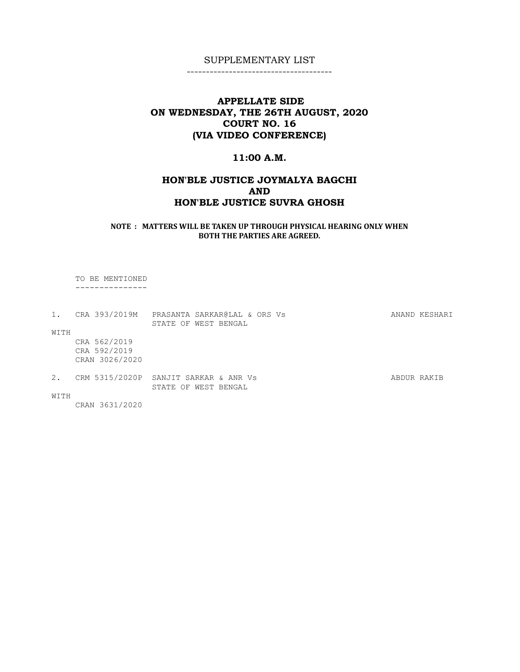--------------------------------------

# APPELLATE SIDE ON WEDNESDAY, THE 26TH AUGUST, 2020 COURT NO. 16 (VIA VIDEO CONFERENCE)

### 11:00 A.M.

# HON'BLE JUSTICE JOYMALYA BAGCHI AND HON'BLE JUSTICE SUVRA GHOSH

NOTE : MATTERS WILL BE TAKEN UP THROUGH PHYSICAL HEARING ONLY WHEN BOTH THE PARTIES ARE AGREED.

TO BE MENTIONED

---------------

|      | 1. CRA 393/2019M                               | PRASANTA SARKAR@LAL & ORS Vs |  | ANAND KESHARI |
|------|------------------------------------------------|------------------------------|--|---------------|
|      |                                                | STATE OF WEST BENGAL         |  |               |
| WITH |                                                |                              |  |               |
|      | CRA 562/2019<br>CRA 592/2019<br>CRAN 3026/2020 |                              |  |               |
| 2.   | CRM 5315/2020P SANJIT SARKAR & ANR Vs          | STATE OF WEST BENGAL         |  | ABDUR RAKIB   |
| WITH |                                                |                              |  |               |
|      | CRAN 3631/2020                                 |                              |  |               |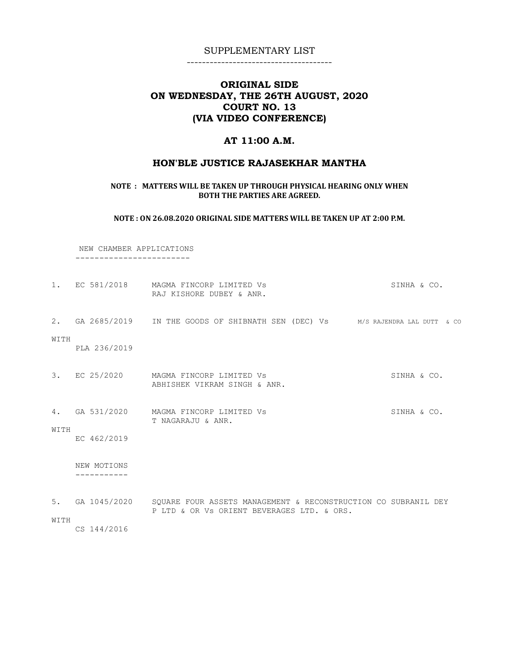--------------------------------------

# ORIGINAL SIDE ON WEDNESDAY, THE 26TH AUGUST, 2020 COURT NO. 13 (VIA VIDEO CONFERENCE)

## AT 11:00 A.M.

### HON'BLE JUSTICE RAJASEKHAR MANTHA

#### NOTE : MATTERS WILL BE TAKEN UP THROUGH PHYSICAL HEARING ONLY WHEN BOTH THE PARTIES ARE AGREED.

NOTE : ON 26.08.2020 ORIGINAL SIDE MATTERS WILL BE TAKEN UP AT 2:00 P.M.

 NEW CHAMBER APPLICATIONS ------------------------

|                          | RAJ KISHORE DUBEY & ANR.                   | SINHA & CO.                                                                                                                                                                                                                                                                                        |
|--------------------------|--------------------------------------------|----------------------------------------------------------------------------------------------------------------------------------------------------------------------------------------------------------------------------------------------------------------------------------------------------|
| PLA 236/2019             |                                            |                                                                                                                                                                                                                                                                                                    |
|                          | ABHISHEK VIKRAM SINGH & ANR.               | SINHA & CO.                                                                                                                                                                                                                                                                                        |
| EC 462/2019              | T NAGARAJU & ANR.                          | SINHA & CO.                                                                                                                                                                                                                                                                                        |
| NEW MOTIONS<br>--------- |                                            |                                                                                                                                                                                                                                                                                                    |
| CS 144/2016              | P LTD & OR Vs ORIENT BEVERAGES LTD. & ORS. |                                                                                                                                                                                                                                                                                                    |
|                          |                                            | 1. EC 581/2018 MAGMA FINCORP LIMITED Vs<br>2. GA 2685/2019 IN THE GOODS OF SHIBNATH SEN (DEC) Vs M/S RAJENDRA LAL DUTT & CO<br>3. EC 25/2020 MAGMA FINCORP LIMITED Vs<br>4. GA 531/2020 MAGMA FINCORP LIMITED Vs<br>5. GA 1045/2020 SQUARE FOUR ASSETS MANAGEMENT & RECONSTRUCTION CO SUBRANIL DEY |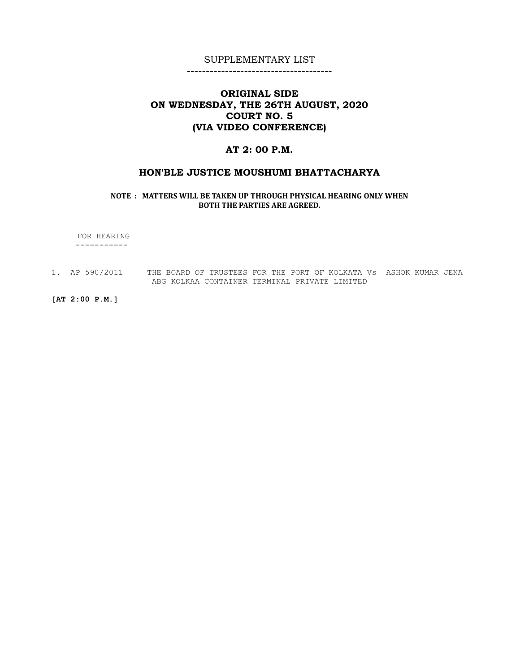--------------------------------------

# ORIGINAL SIDE ON WEDNESDAY, THE 26TH AUGUST, 2020 COURT NO. 5 (VIA VIDEO CONFERENCE)

## AT 2: 00 P.M.

### HON'BLE JUSTICE MOUSHUMI BHATTACHARYA

NOTE : MATTERS WILL BE TAKEN UP THROUGH PHYSICAL HEARING ONLY WHEN BOTH THE PARTIES ARE AGREED.

 FOR HEARING -----------

1. AP 590/2011 THE BOARD OF TRUSTEES FOR THE PORT OF KOLKATA Vs ASHOK KUMAR JENA ABG KOLKAA CONTAINER TERMINAL PRIVATE LIMITED

[AT 2:00 P.M.]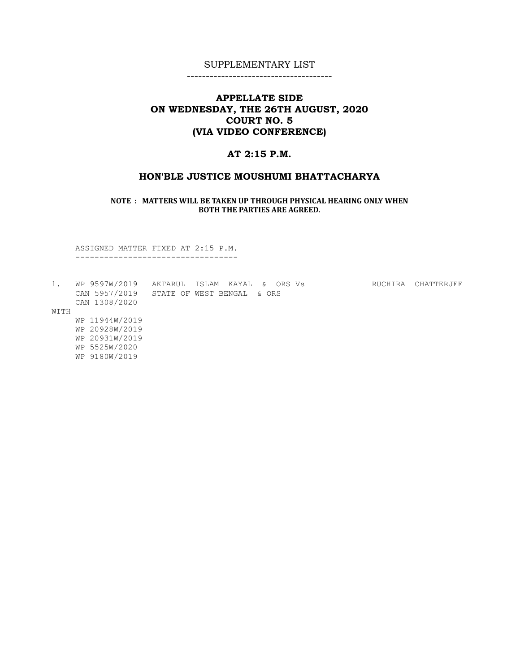--------------------------------------

# APPELLATE SIDE ON WEDNESDAY, THE 26TH AUGUST, 2020 COURT NO. 5 (VIA VIDEO CONFERENCE)

# AT 2:15 P.M.

#### HON'BLE JUSTICE MOUSHUMI BHATTACHARYA

NOTE : MATTERS WILL BE TAKEN UP THROUGH PHYSICAL HEARING ONLY WHEN BOTH THE PARTIES ARE AGREED.

 ASSIGNED MATTER FIXED AT 2:15 P.M. ----------------------------------

|      | WP 9597W/2019  | AKTARUL              | ISLAM | KAYAL | $\delta$ | ORS Vs | RUCHIRA | CHATTERJEE |
|------|----------------|----------------------|-------|-------|----------|--------|---------|------------|
|      | CAN 5957/2019  | STATE OF WEST BENGAL |       |       | & ORS    |        |         |            |
|      | CAN 1308/2020  |                      |       |       |          |        |         |            |
| WITH |                |                      |       |       |          |        |         |            |
|      | WP 11944W/2019 |                      |       |       |          |        |         |            |
|      | WP 20928W/2019 |                      |       |       |          |        |         |            |
|      | WP 20931W/2019 |                      |       |       |          |        |         |            |
|      | WP 5525W/2020  |                      |       |       |          |        |         |            |
|      | WP 9180W/2019  |                      |       |       |          |        |         |            |
|      |                |                      |       |       |          |        |         |            |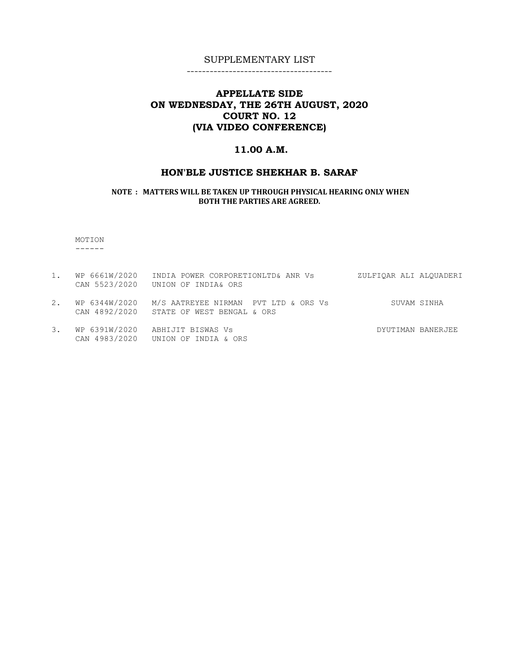--------------------------------------

# APPELLATE SIDE ON WEDNESDAY, THE 26TH AUGUST, 2020 COURT NO. 12 (VIA VIDEO CONFERENCE)

# 11.00 A.M.

## HON'BLE JUSTICE SHEKHAR B. SARAF

NOTE : MATTERS WILL BE TAKEN UP THROUGH PHYSICAL HEARING ONLY WHEN BOTH THE PARTIES ARE AGREED.

 MOTION  $------$ 

|    | 1. WP 6661W/2020 | INDIA POWER CORPORETIONLTD& ANR Vs<br>CAN 5523/2020 UNION OF INDIA& ORS                        | ZULFIOAR ALI ALOUADERI |
|----|------------------|------------------------------------------------------------------------------------------------|------------------------|
| 2. |                  | WP 6344W/2020 M/S AATREYEE NIRMAN PVT LTD & ORS Vs<br>CAN 4892/2020 STATE OF WEST BENGAL & ORS | SUVAM SINHA            |
|    |                  | 3. WP 6391W/2020 ABHIJIT BISWAS Vs                                                             | DYUTIMAN BANERJEE      |

CAN 4983/2020 UNION OF INDIA & ORS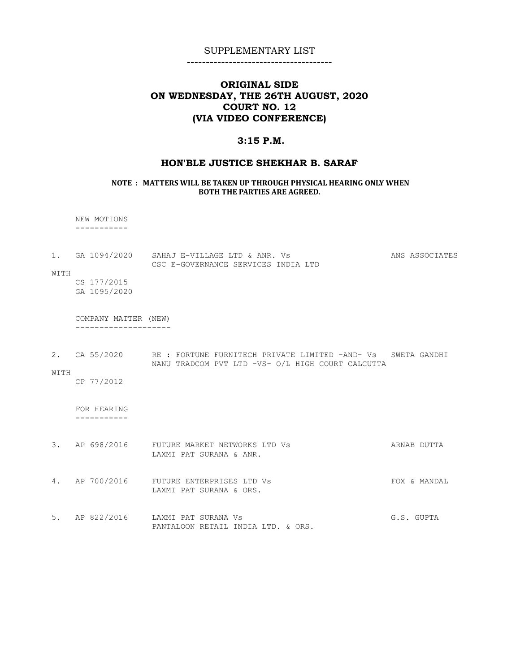--------------------------------------

# ORIGINAL SIDE ON WEDNESDAY, THE 26TH AUGUST, 2020 COURT NO. 12 (VIA VIDEO CONFERENCE)

### 3:15 P.M.

#### HON'BLE JUSTICE SHEKHAR B. SARAF

#### NOTE : MATTERS WILL BE TAKEN UP THROUGH PHYSICAL HEARING ONLY WHEN BOTH THE PARTIES ARE AGREED.

 NEW MOTIONS -----------

1. GA 1094/2020 SAHAJ E-VILLAGE LTD & ANR. Vs ANS ASSOCIATES CSC E-GOVERNANCE SERVICES INDIA LTD WITH

 CS 177/2015 GA 1095/2020

 COMPANY MATTER (NEW) --------------------

2. CA 55/2020 RE : FORTUNE FURNITECH PRIVATE LIMITED -AND- Vs SWETA GANDHI NANU TRADCOM PVT LTD -VS- O/L HIGH COURT CALCUTTA

#### WITH

CP 77/2012

 FOR HEARING -----------

- 3. AP 698/2016 FUTURE MARKET NETWORKS LTD Vs **ARNAB DUTTA** LAXMI PAT SURANA & ANR.
- 4. AP 700/2016 FUTURE ENTERPRISES LTD Vs **FOX & MANDAL** LAXMI PAT SURANA & ORS.
- 5. AP 822/2016 LAXMI PAT SURANA Vs G.S. GUPTA PANTALOON RETAIL INDIA LTD. & ORS.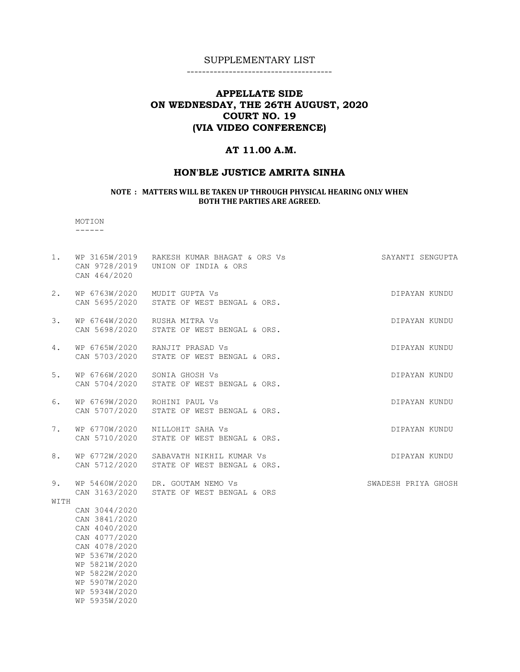--------------------------------------

# APPELLATE SIDE ON WEDNESDAY, THE 26TH AUGUST, 2020 COURT NO. 19 (VIA VIDEO CONFERENCE)

### AT 11.00 A.M.

### HON'BLE JUSTICE AMRITA SINHA

#### NOTE : MATTERS WILL BE TAKEN UP THROUGH PHYSICAL HEARING ONLY WHEN BOTH THE PARTIES ARE AGREED.

 MOTION ------

1. WP 3165W/2019 RAKESH KUMAR BHAGAT & ORS Vs SAYANTI SENGUPTA CAN 9728/2019 UNION OF INDIA & ORS CAN 464/2020 2. WP 6763W/2020 MUDIT GUPTA Vs CONTROLLER STATES OF DIPAYAN KUNDU CAN 5695/2020 STATE OF WEST BENGAL & ORS. 3. WP 6764W/2020 RUSHA MITRA Vs DIPAYAN KUNDU CAN 5698/2020 STATE OF WEST BENGAL & ORS. 4. WP 6765W/2020 RANJIT PRASAD Vs DIPAYAN KUNDU CAN 5703/2020 STATE OF WEST BENGAL & ORS. 5. WP 6766W/2020 SONIA GHOSH Vs DIPAYAN KUNDU CAN 5704/2020 STATE OF WEST BENGAL & ORS. 6. WP 6769W/2020 ROHINI PAUL Vs DIPAYAN KUNDU CAN 5707/2020 STATE OF WEST BENGAL & ORS. 7. WP 6770W/2020 NILLOHIT SAHA Vs DIPAYAN KUNDU CAN 5710/2020 STATE OF WEST BENGAL & ORS. 8. WP 6772W/2020 SABAVATH NIKHIL KUMAR Vs **DIPAYAN KUNDU**  CAN 5712/2020 STATE OF WEST BENGAL & ORS. 9. WP 5460W/2020 DR. GOUTAM NEMO Vs SWADESH PRIYA GHOSH CAN 3163/2020 STATE OF WEST BENGAL & ORS WITH CAN 3044/2020 CAN 3841/2020 CAN 4040/2020

 CAN 4077/2020 CAN 4078/2020 WP 5367W/2020 WP 5821W/2020 WP 5822W/2020 WP 5907W/2020 WP 5934W/2020 WP 5935W/2020